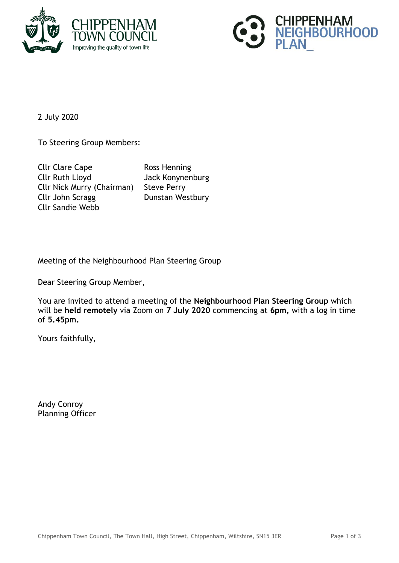



2 July 2020

To Steering Group Members:

Cllr Clare Cape Ross Henning Cllr Ruth Lloyd Jack Konynenburg Cllr Nick Murry (Chairman) Steve Perry Cllr John Scragg Dunstan Westbury Cllr Sandie Webb

Meeting of the Neighbourhood Plan Steering Group

Dear Steering Group Member,

You are invited to attend a meeting of the **Neighbourhood Plan Steering Group** which will be **held remotely** via Zoom on **7 July 2020** commencing at **6pm,** with a log in time of **5.45pm.**

Yours faithfully,

Andy Conroy Planning Officer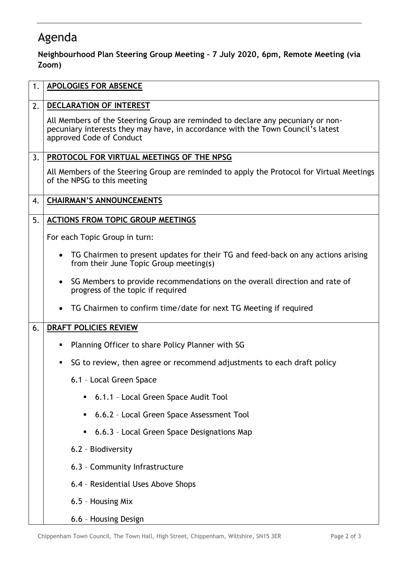## Agenda

**Neighbourhood Plan Steering Group Meeting – 7 July 2020, 6pm, Remote Meeting (via Zoom)**

| 1. | <b>APOLOGIES FOR ABSENCE</b>                                                                                                                                                                   |
|----|------------------------------------------------------------------------------------------------------------------------------------------------------------------------------------------------|
| 2. | DECLARATION OF INTEREST                                                                                                                                                                        |
|    | All Members of the Steering Group are reminded to declare any pecuniary or non-<br>pecuniary interests they may have, in accordance with the Town Council's latest<br>approved Code of Conduct |
| 3. | PROTOCOL FOR VIRTUAL MEETINGS OF THE NPSG                                                                                                                                                      |
|    | All Members of the Steering Group are reminded to apply the Protocol for Virtual Meetings<br>of the NPSG to this meeting                                                                       |
| 4. | <b>CHAIRMAN'S ANNOUNCEMENTS</b>                                                                                                                                                                |
| 5. | <b>ACTIONS FROM TOPIC GROUP MEETINGS</b>                                                                                                                                                       |
|    | For each Topic Group in turn:                                                                                                                                                                  |
|    | TG Chairmen to present updates for their TG and feed-back on any actions arising<br>$\bullet$<br>from their June Topic Group meeting(s)                                                        |
|    | SG Members to provide recommendations on the overall direction and rate of<br>$\bullet$<br>progress of the topic if required                                                                   |
|    | TG Chairmen to confirm time/date for next TG Meeting if required                                                                                                                               |
| 6. | DRAFT POLICIES REVIEW                                                                                                                                                                          |
|    | Planning Officer to share Policy Planner with SG<br>п                                                                                                                                          |
|    | SG to review, then agree or recommend adjustments to each draft policy<br>п,                                                                                                                   |
|    | 6.1 - Local Green Space                                                                                                                                                                        |
|    | 6.1.1 - Local Green Space Audit Tool                                                                                                                                                           |
|    | 6.6.2 - Local Green Space Assessment Tool                                                                                                                                                      |
|    | 6.6.3 - Local Green Space Designations Map                                                                                                                                                     |
|    | 6.2 - Biodiversity                                                                                                                                                                             |
|    | 6.3 - Community Infrastructure                                                                                                                                                                 |
|    | 6.4 - Residential Uses Above Shops                                                                                                                                                             |
|    | 6.5 - Housing Mix                                                                                                                                                                              |
|    | 6.6 - Housing Design                                                                                                                                                                           |